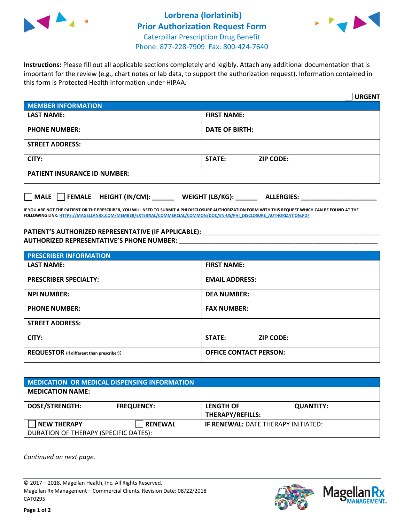



**Instructions:** Please fill out all applicable sections completely and legibly. Attach any additional documentation that is important for the review (e.g., chart notes or lab data, to support the authorization request). Information contained in this form is Protected Health Information under HIPAA.

|                                                | <b>URGENT</b>                        |  |
|------------------------------------------------|--------------------------------------|--|
| <b>MEMBER INFORMATION</b>                      |                                      |  |
| <b>LAST NAME:</b>                              | <b>FIRST NAME:</b>                   |  |
| <b>PHONE NUMBER:</b>                           | <b>DATE OF BIRTH:</b>                |  |
| <b>STREET ADDRESS:</b>                         |                                      |  |
| CITY:                                          | <b>STATE:</b><br><b>ZIP CODE:</b>    |  |
| <b>PATIENT INSURANCE ID NUMBER:</b>            |                                      |  |
| $\Box$ FEMALE HEIGHT (IN/CM): _<br><b>MALE</b> | WEIGHT (LB/KG):<br><b>ALLERGIES:</b> |  |

**IF YOU ARE NOT THE PATIENT OR THE PRESCRIBER, YOU WILL NEED TO SUBMIT A PHI DISCLOSURE AUTHORIZATION FORM WITH THIS REQUEST WHICH CAN BE FOUND AT THE FOLLOWING LINK[: HTTPS://MAGELLANRX.COM/MEMBER/EXTERNAL/COMMERCIAL/COMMON/DOC/EN-US/PHI\\_DISCLOSURE\\_AUTHORIZATION.PDF](https://magellanrx.com/member/external/commercial/common/doc/en-us/PHI_Disclosure_Authorization.pdf)**

PATIENT'S AUTHORIZED REPRESENTATIVE (IF APPLICABLE): \_\_\_\_\_\_\_\_\_\_\_\_\_\_\_\_\_\_\_\_\_\_\_\_\_\_\_ **AUTHORIZED REPRESENTATIVE'S PHONE NUMBER:** \_\_\_\_\_\_\_\_\_\_\_\_\_\_\_\_\_\_\_\_\_\_\_\_\_\_\_\_\_\_\_\_\_\_\_\_\_\_\_\_\_\_\_\_\_\_\_\_\_\_\_\_\_\_\_

| <b>PRESCRIBER INFORMATION</b>             |                               |  |
|-------------------------------------------|-------------------------------|--|
| <b>LAST NAME:</b>                         | <b>FIRST NAME:</b>            |  |
| <b>PRESCRIBER SPECIALTY:</b>              | <b>EMAIL ADDRESS:</b>         |  |
| <b>NPI NUMBER:</b>                        | <b>DEA NUMBER:</b>            |  |
| <b>PHONE NUMBER:</b>                      | <b>FAX NUMBER:</b>            |  |
| <b>STREET ADDRESS:</b>                    |                               |  |
| CITY:                                     | STATE:<br><b>ZIP CODE:</b>    |  |
| REQUESTOR (if different than prescriber): | <b>OFFICE CONTACT PERSON:</b> |  |

| <b>MEDICATION OR MEDICAL DISPENSING INFORMATION</b> |                   |                                            |                  |  |  |
|-----------------------------------------------------|-------------------|--------------------------------------------|------------------|--|--|
| <b>MEDICATION NAME:</b>                             |                   |                                            |                  |  |  |
| <b>DOSE/STRENGTH:</b>                               | <b>FREQUENCY:</b> | <b>LENGTH OF</b>                           | <b>QUANTITY:</b> |  |  |
|                                                     |                   | <b>THERAPY/REFILLS:</b>                    |                  |  |  |
| <b>NEW THERAPY</b>                                  | <b>RENEWAL</b>    | <b>IF RENEWAL: DATE THERAPY INITIATED:</b> |                  |  |  |
| DURATION OF THERAPY (SPECIFIC DATES):               |                   |                                            |                  |  |  |

*Continued on next page.*

© 2017 – 2018, Magellan Health, Inc. All Rights Reserved. Magellan Rx Management – Commercial Clients. Revision Date: 08/22/2018 CAT0295